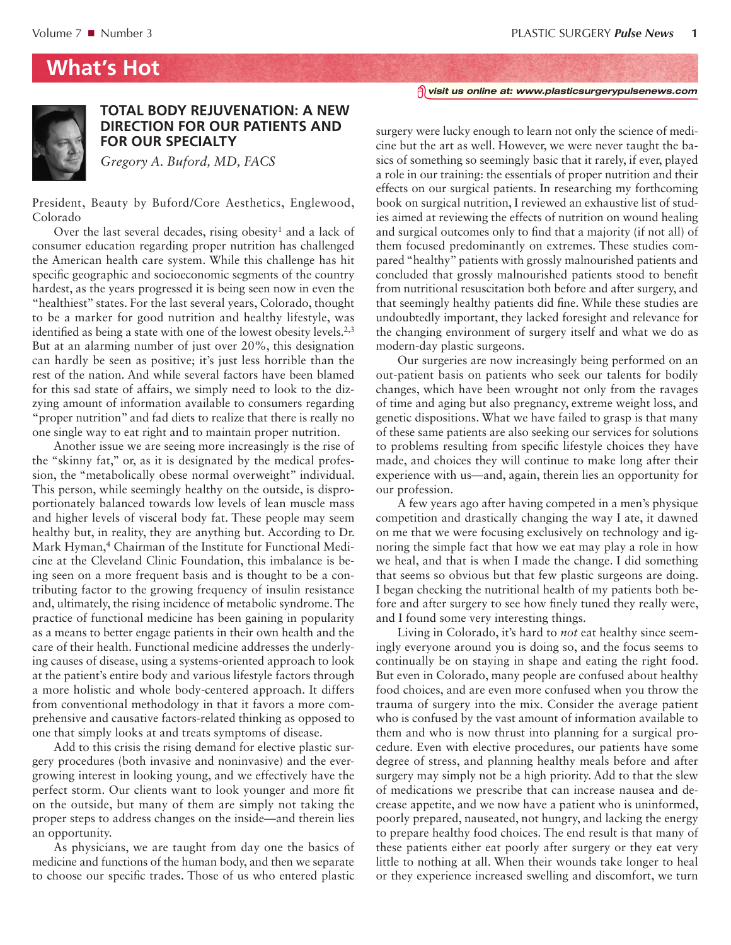## **What's Hot**



## **TOTAL BODY REJUVENATION: A NEW DIRECTION FOR OUR PATIENTS AND FOR OUR SPECIALTY**

*Gregory A. Buford, MD, FACS*

President, Beauty by Buford/Core Aesthetics, Englewood, Colorado

Over the last several decades, rising obesity<sup>1</sup> and a lack of consumer education regarding proper nutrition has challenged the American health care system. While this challenge has hit specific geographic and socioeconomic segments of the country hardest, as the years progressed it is being seen now in even the "healthiest" states. For the last several years, Colorado, thought to be a marker for good nutrition and healthy lifestyle, was identified as being a state with one of the lowest obesity levels.<sup>2,3</sup> But at an alarming number of just over 20%, this designation can hardly be seen as positive; it's just less horrible than the rest of the nation. And while several factors have been blamed for this sad state of affairs, we simply need to look to the dizzying amount of information available to consumers regarding "proper nutrition" and fad diets to realize that there is really no one single way to eat right and to maintain proper nutrition.

Another issue we are seeing more increasingly is the rise of the "skinny fat," or, as it is designated by the medical profession, the "metabolically obese normal overweight" individual. This person, while seemingly healthy on the outside, is disproportionately balanced towards low levels of lean muscle mass and higher levels of visceral body fat. These people may seem healthy but, in reality, they are anything but. According to Dr. Mark Hyman,<sup>4</sup> Chairman of the Institute for Functional Medicine at the Cleveland Clinic Foundation, this imbalance is being seen on a more frequent basis and is thought to be a contributing factor to the growing frequency of insulin resistance and, ultimately, the rising incidence of metabolic syndrome. The practice of functional medicine has been gaining in popularity as a means to better engage patients in their own health and the care of their health. Functional medicine addresses the underlying causes of disease, using a systems-oriented approach to look at the patient's entire body and various lifestyle factors through a more holistic and whole body-centered approach. It differs from conventional methodology in that it favors a more comprehensive and causative factors-related thinking as opposed to one that simply looks at and treats symptoms of disease.

Add to this crisis the rising demand for elective plastic surgery procedures (both invasive and noninvasive) and the evergrowing interest in looking young, and we effectively have the perfect storm. Our clients want to look younger and more fit on the outside, but many of them are simply not taking the proper steps to address changes on the inside—and therein lies an opportunity.

As physicians, we are taught from day one the basics of medicine and functions of the human body, and then we separate to choose our specific trades. Those of us who entered plastic *visit us online at: www.plasticsurgerypulsenews.com*

surgery were lucky enough to learn not only the science of medicine but the art as well. However, we were never taught the basics of something so seemingly basic that it rarely, if ever, played a role in our training: the essentials of proper nutrition and their effects on our surgical patients. In researching my forthcoming book on surgical nutrition, I reviewed an exhaustive list of studies aimed at reviewing the effects of nutrition on wound healing and surgical outcomes only to find that a majority (if not all) of them focused predominantly on extremes. These studies compared "healthy" patients with grossly malnourished patients and concluded that grossly malnourished patients stood to benefit from nutritional resuscitation both before and after surgery, and that seemingly healthy patients did fine. While these studies are undoubtedly important, they lacked foresight and relevance for the changing environment of surgery itself and what we do as modern-day plastic surgeons.

Our surgeries are now increasingly being performed on an out-patient basis on patients who seek our talents for bodily changes, which have been wrought not only from the ravages of time and aging but also pregnancy, extreme weight loss, and genetic dispositions. What we have failed to grasp is that many of these same patients are also seeking our services for solutions to problems resulting from specific lifestyle choices they have made, and choices they will continue to make long after their experience with us—and, again, therein lies an opportunity for our profession.

A few years ago after having competed in a men's physique competition and drastically changing the way I ate, it dawned on me that we were focusing exclusively on technology and ignoring the simple fact that how we eat may play a role in how we heal, and that is when I made the change. I did something that seems so obvious but that few plastic surgeons are doing. I began checking the nutritional health of my patients both before and after surgery to see how finely tuned they really were, and I found some very interesting things.

Living in Colorado, it's hard to *not* eat healthy since seemingly everyone around you is doing so, and the focus seems to continually be on staying in shape and eating the right food. But even in Colorado, many people are confused about healthy food choices, and are even more confused when you throw the trauma of surgery into the mix. Consider the average patient who is confused by the vast amount of information available to them and who is now thrust into planning for a surgical procedure. Even with elective procedures, our patients have some degree of stress, and planning healthy meals before and after surgery may simply not be a high priority. Add to that the slew of medications we prescribe that can increase nausea and decrease appetite, and we now have a patient who is uninformed, poorly prepared, nauseated, not hungry, and lacking the energy to prepare healthy food choices. The end result is that many of these patients either eat poorly after surgery or they eat very little to nothing at all. When their wounds take longer to heal or they experience increased swelling and discomfort, we turn